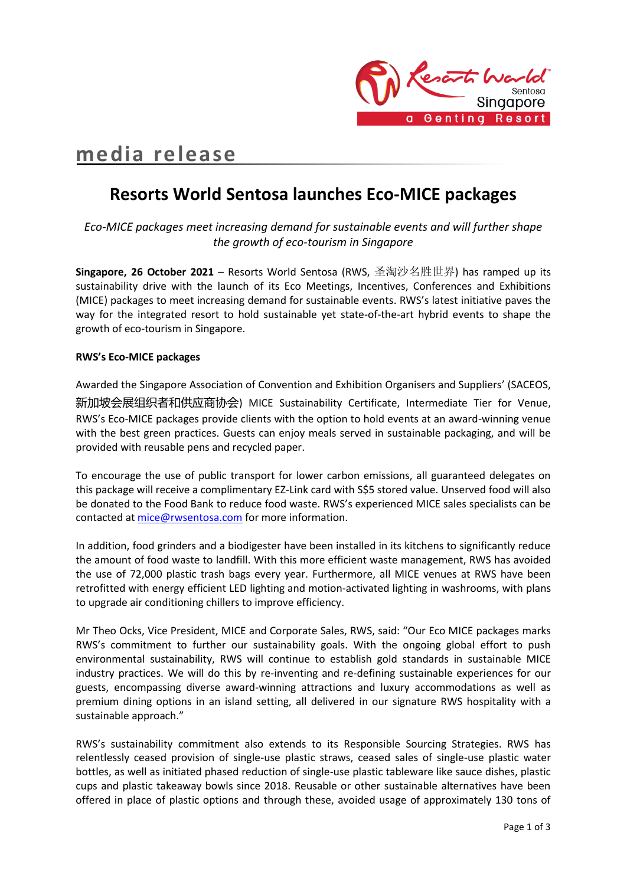

# **media release**

# **Resorts World Sentosa launches Eco-MICE packages**

*Eco-MICE packages meet increasing demand for sustainable events and will further shape the growth of eco-tourism in Singapore*

**Singapore, 26 October 2021** – Resorts World Sentosa (RWS, 圣淘沙名胜世界) has ramped up its sustainability drive with the launch of its Eco Meetings, Incentives, Conferences and Exhibitions (MICE) packages to meet increasing demand for sustainable events. RWS's latest initiative paves the way for the integrated resort to hold sustainable yet state-of-the-art hybrid events to shape the growth of eco-tourism in Singapore.

# **RWS's Eco-MICE packages**

Awarded the Singapore Association of Convention and Exhibition Organisers and Suppliers' (SACEOS, 新加坡会展组织者和供应商协会) MICE Sustainability Certificate, Intermediate Tier for Venue, RWS's Eco-MICE packages provide clients with the option to hold events at an award-winning venue with the best green practices. Guests can enjoy meals served in sustainable packaging, and will be provided with reusable pens and recycled paper.

To encourage the use of public transport for lower carbon emissions, all guaranteed delegates on this package will receive a complimentary EZ-Link card with S\$5 stored value. Unserved food will also be donated to the Food Bank to reduce food waste. RWS's experienced MICE sales specialists can be contacted a[t mice@rwsentosa.com](mailto:mice@rwsentosa.com) for more information.

In addition, food grinders and a biodigester have been installed in its kitchens to significantly reduce the amount of food waste to landfill. With this more efficient waste management, RWS has avoided the use of 72,000 plastic trash bags every year. Furthermore, all MICE venues at RWS have been retrofitted with energy efficient LED lighting and motion-activated lighting in washrooms, with plans to upgrade air conditioning chillers to improve efficiency.

Mr Theo Ocks, Vice President, MICE and Corporate Sales, RWS, said: "Our Eco MICE packages marks RWS's commitment to further our sustainability goals. With the ongoing global effort to push environmental sustainability, RWS will continue to establish gold standards in sustainable MICE industry practices. We will do this by re-inventing and re-defining sustainable experiences for our guests, encompassing diverse award-winning attractions and luxury accommodations as well as premium dining options in an island setting, all delivered in our signature RWS hospitality with a sustainable approach."

RWS's sustainability commitment also extends to its Responsible Sourcing Strategies. RWS has relentlessly ceased provision of single-use plastic straws, ceased sales of single-use plastic water bottles, as well as initiated phased reduction of single-use plastic tableware like sauce dishes, plastic cups and plastic takeaway bowls since 2018. Reusable or other sustainable alternatives have been offered in place of plastic options and through these, avoided usage of approximately 130 tons of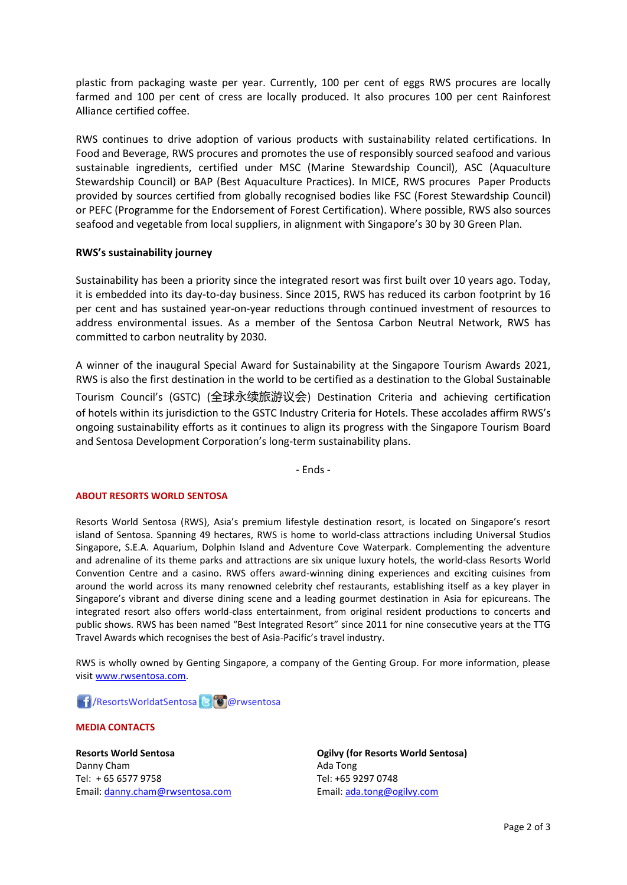plastic from packaging waste per year. Currently, 100 per cent of eggs RWS procures are locally farmed and 100 per cent of cress are locally produced. It also procures 100 per cent Rainforest Alliance certified coffee.

RWS continues to drive adoption of various products with sustainability related certifications. In Food and Beverage, RWS procures and promotes the use of responsibly sourced seafood and various sustainable ingredients, certified under MSC (Marine Stewardship Council), ASC (Aquaculture Stewardship Council) or BAP (Best Aquaculture Practices). In MICE, RWS procures Paper Products provided by sources certified from globally recognised bodies like FSC (Forest Stewardship Council) or PEFC (Programme for the Endorsement of Forest Certification). Where possible, RWS also sources seafood and vegetable from local suppliers, in alignment with Singapore's 30 by 30 Green Plan.

## **RWS's sustainability journey**

Sustainability has been a priority since the integrated resort was first built over 10 years ago. Today, it is embedded into its day-to-day business. Since 2015, RWS has reduced its carbon footprint by 16 per cent and has sustained year-on-year reductions through continued investment of resources to address environmental issues. As a member of the Sentosa Carbon Neutral Network, RWS has committed to carbon neutrality by 2030.

A winner of the inaugural Special Award for Sustainability at the Singapore Tourism Awards 2021, RWS is also the first destination in the world to be certified as a destination to the Global Sustainable

Tourism Council's (GSTC) (全球永续旅游议会) Destination Criteria and achieving certification of hotels within its jurisdiction to the GSTC Industry Criteria for Hotels. These accolades affirm RWS's ongoing sustainability efforts as it continues to align its progress with the Singapore Tourism Board and Sentosa Development Corporation's long-term sustainability plans.

- Ends -

#### **ABOUT RESORTS WORLD SENTOSA**

Resorts World Sentosa (RWS), Asia's premium lifestyle destination resort, is located on Singapore's resort island of Sentosa. Spanning 49 hectares, RWS is home to world-class attractions including Universal Studios Singapore, S.E.A. Aquarium, Dolphin Island and Adventure Cove Waterpark. Complementing the adventure and adrenaline of its theme parks and attractions are six unique luxury hotels, the world-class Resorts World Convention Centre and a casino. RWS offers award-winning dining experiences and exciting cuisines from around the world across its many renowned celebrity chef restaurants, establishing itself as a key player in Singapore's vibrant and diverse dining scene and a leading gourmet destination in Asia for epicureans. The integrated resort also offers world-class entertainment, from original resident productions to concerts and public shows. RWS has been named "Best Integrated Resort" since 2011 for nine consecutive years at the TTG Travel Awards which recognises the best of Asia-Pacific's travel industry.

RWS is wholly owned by Genting Singapore, a company of the Genting Group. For more information, please visi[t www.rwsentosa.com.](http://www.rwsentosa.com/)

**1 / ResortsWorldatSentosa & & @rwsentosa** 

### **MEDIA CONTACTS**

**Resorts World Sentosa** Danny Cham Tel: + 65 6577 9758 Email: [danny.cham@rwsentosa.com](mailto:danny.cham@rwsentosa.com)

 **Ogilvy (for Resorts World Sentosa)** Ada Tong Tel: +65 9297 0748 Email: [ada.tong@ogilvy.com](mailto:ada.tong@ogilvy.com)